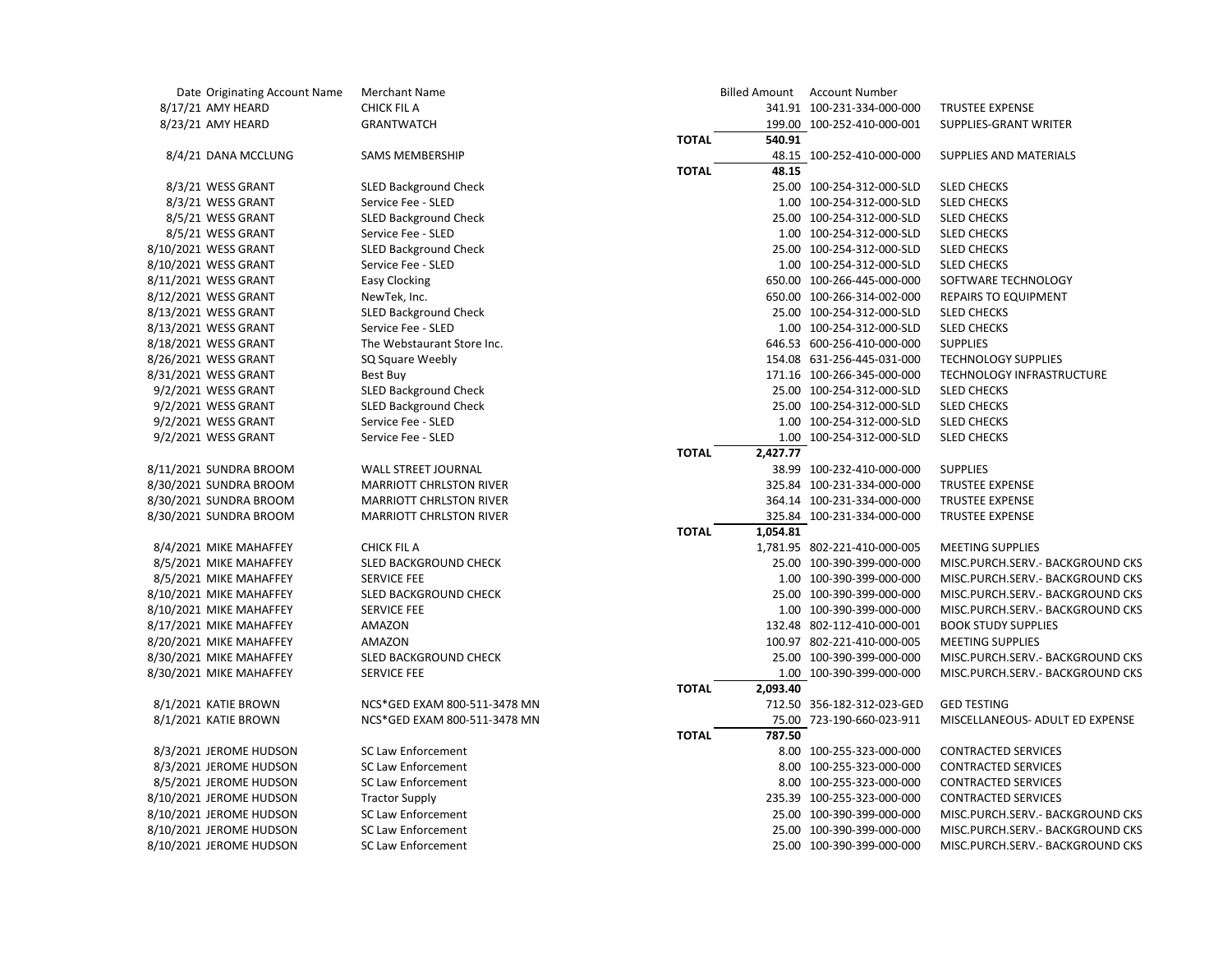| Date Originating Account Name | Merchant Name                  |              |          | Billed Amount Account Number |                                   |
|-------------------------------|--------------------------------|--------------|----------|------------------------------|-----------------------------------|
| 8/17/21 AMY HEARD             | <b>CHICK FIL A</b>             |              |          | 341.91 100-231-334-000-000   | <b>TRUSTEE EXPENSE</b>            |
| 8/23/21 AMY HEARD             | <b>GRANTWATCH</b>              |              |          | 199.00 100-252-410-000-001   | SUPPLIES-GRANT WRITER             |
|                               |                                | <b>TOTAL</b> | 540.91   |                              |                                   |
| 8/4/21 DANA MCCLUNG           | <b>SAMS MEMBERSHIP</b>         |              |          | 48.15 100-252-410-000-000    | SUPPLIES AND MATERIALS            |
|                               |                                | <b>TOTAL</b> | 48.15    |                              |                                   |
| 8/3/21 WESS GRANT             | SLED Background Check          |              |          | 25.00 100-254-312-000-SLD    | <b>SLED CHECKS</b>                |
| 8/3/21 WESS GRANT             | Service Fee - SLED             |              |          | 1.00 100-254-312-000-SLD     | <b>SLED CHECKS</b>                |
| 8/5/21 WESS GRANT             | <b>SLED Background Check</b>   |              |          | 25.00 100-254-312-000-SLD    | <b>SLED CHECKS</b>                |
| 8/5/21 WESS GRANT             | Service Fee - SLED             |              |          | 1.00 100-254-312-000-SLD     | <b>SLED CHECKS</b>                |
| 8/10/2021 WESS GRANT          | <b>SLED Background Check</b>   |              |          | 25.00 100-254-312-000-SLD    | <b>SLED CHECKS</b>                |
| 8/10/2021 WESS GRANT          | Service Fee - SLED             |              |          | 1.00 100-254-312-000-SLD     | <b>SLED CHECKS</b>                |
| 8/11/2021 WESS GRANT          | <b>Easy Clocking</b>           |              |          | 650.00 100-266-445-000-000   | SOFTWARE TECHNOLOGY               |
| 8/12/2021 WESS GRANT          | NewTek, Inc.                   |              |          | 650.00 100-266-314-002-000   | <b>REPAIRS TO EQUIPMENT</b>       |
| 8/13/2021 WESS GRANT          | SLED Background Check          |              |          | 25.00 100-254-312-000-SLD    | <b>SLED CHECKS</b>                |
| 8/13/2021 WESS GRANT          | Service Fee - SLED             |              |          | 1.00 100-254-312-000-SLD     | <b>SLED CHECKS</b>                |
| 8/18/2021 WESS GRANT          | The Webstaurant Store Inc.     |              |          | 646.53 600-256-410-000-000   | <b>SUPPLIES</b>                   |
| 8/26/2021 WESS GRANT          | SQ Square Weebly               |              |          | 154.08 631-256-445-031-000   | <b>TECHNOLOGY SUPPLIES</b>        |
| 8/31/2021 WESS GRANT          | Best Buy                       |              |          | 171.16 100-266-345-000-000   | TECHNOLOGY INFRASTRUCTURE         |
| 9/2/2021 WESS GRANT           | <b>SLED Background Check</b>   |              |          | 25.00 100-254-312-000-SLD    | <b>SLED CHECKS</b>                |
| 9/2/2021 WESS GRANT           | <b>SLED Background Check</b>   |              |          | 25.00 100-254-312-000-SLD    | <b>SLED CHECKS</b>                |
| 9/2/2021 WESS GRANT           | Service Fee - SLED             |              |          | 1.00 100-254-312-000-SLD     | <b>SLED CHECKS</b>                |
| 9/2/2021 WESS GRANT           | Service Fee - SLED             |              |          | 1.00 100-254-312-000-SLD     | <b>SLED CHECKS</b>                |
|                               |                                | <b>TOTAL</b> | 2,427.77 |                              |                                   |
| 8/11/2021 SUNDRA BROOM        | <b>WALL STREET JOURNAL</b>     |              |          | 38.99 100-232-410-000-000    | <b>SUPPLIES</b>                   |
| 8/30/2021 SUNDRA BROOM        | <b>MARRIOTT CHRLSTON RIVER</b> |              |          | 325.84 100-231-334-000-000   | TRUSTEE EXPENSE                   |
| 8/30/2021 SUNDRA BROOM        | <b>MARRIOTT CHRLSTON RIVER</b> |              |          | 364.14 100-231-334-000-000   | <b>TRUSTEE EXPENSE</b>            |
| 8/30/2021 SUNDRA BROOM        | <b>MARRIOTT CHRLSTON RIVER</b> |              |          | 325.84 100-231-334-000-000   | <b>TRUSTEE EXPENSE</b>            |
|                               |                                | <b>TOTAL</b> | 1,054.81 |                              |                                   |
| 8/4/2021 MIKE MAHAFFEY        | <b>CHICK FIL A</b>             |              |          | 1,781.95 802-221-410-000-005 | <b>MEETING SUPPLIES</b>           |
| 8/5/2021 MIKE MAHAFFEY        | SLED BACKGROUND CHECK          |              |          | 25.00 100-390-399-000-000    | MISC.PURCH.SERV.- BACKGROUND CKS  |
| 8/5/2021 MIKE MAHAFFEY        | <b>SERVICE FEE</b>             |              |          | 1.00 100-390-399-000-000     | MISC.PURCH.SERV.- BACKGROUND CKS  |
| 8/10/2021 MIKE MAHAFFEY       | SLED BACKGROUND CHECK          |              |          | 25.00 100-390-399-000-000    | MISC.PURCH.SERV. - BACKGROUND CKS |
| 8/10/2021 MIKE MAHAFFEY       | <b>SERVICE FEE</b>             |              |          | 1.00 100-390-399-000-000     | MISC.PURCH.SERV.- BACKGROUND CKS  |
| 8/17/2021 MIKE MAHAFFEY       | AMAZON                         |              |          | 132.48 802-112-410-000-001   | <b>BOOK STUDY SUPPLIES</b>        |
| 8/20/2021 MIKE MAHAFFEY       | AMAZON                         |              |          | 100.97 802-221-410-000-005   | <b>MEETING SUPPLIES</b>           |
| 8/30/2021 MIKE MAHAFFEY       | SLED BACKGROUND CHECK          |              |          | 25.00 100-390-399-000-000    | MISC.PURCH.SERV.- BACKGROUND CKS  |
| 8/30/2021 MIKE MAHAFFEY       | <b>SERVICE FEE</b>             |              |          | 1.00 100-390-399-000-000     | MISC.PURCH.SERV. - BACKGROUND CKS |
|                               |                                | <b>TOTAL</b> | 2,093.40 |                              |                                   |
| 8/1/2021 KATIE BROWN          | NCS*GED EXAM 800-511-3478 MN   |              |          | 712.50 356-182-312-023-GED   | <b>GED TESTING</b>                |
| 8/1/2021 KATIE BROWN          | NCS*GED EXAM 800-511-3478 MN   |              |          | 75.00 723-190-660-023-911    | MISCELLANEOUS- ADULT ED EXPENSE   |
|                               |                                | <b>TOTAL</b> | 787.50   |                              |                                   |
| 8/3/2021 JEROME HUDSON        | <b>SC Law Enforcement</b>      |              |          | 8.00 100-255-323-000-000     | <b>CONTRACTED SERVICES</b>        |
| 8/3/2021 JEROME HUDSON        | <b>SC Law Enforcement</b>      |              |          | 8.00 100-255-323-000-000     | CONTRACTED SERVICES               |
| 8/5/2021 JEROME HUDSON        | <b>SC Law Enforcement</b>      |              |          | 8.00 100-255-323-000-000     | <b>CONTRACTED SERVICES</b>        |
| 8/10/2021 JEROME HUDSON       | <b>Tractor Supply</b>          |              |          | 235.39 100-255-323-000-000   | CONTRACTED SERVICES               |
| 8/10/2021 JEROME HUDSON       | <b>SC Law Enforcement</b>      |              |          | 25.00 100-390-399-000-000    | MISC.PURCH.SERV.- BACKGROUND CKS  |
| 8/10/2021 JEROME HUDSON       | <b>SC Law Enforcement</b>      |              |          | 25.00 100-390-399-000-000    | MISC.PURCH.SERV.- BACKGROUND CKS  |
| 8/10/2021 JEROME HUDSON       | <b>SC Law Enforcement</b>      |              |          | 25.00 100-390-399-000-000    | MISC.PURCH.SERV.- BACKGROUND CKS  |
|                               |                                |              |          |                              |                                   |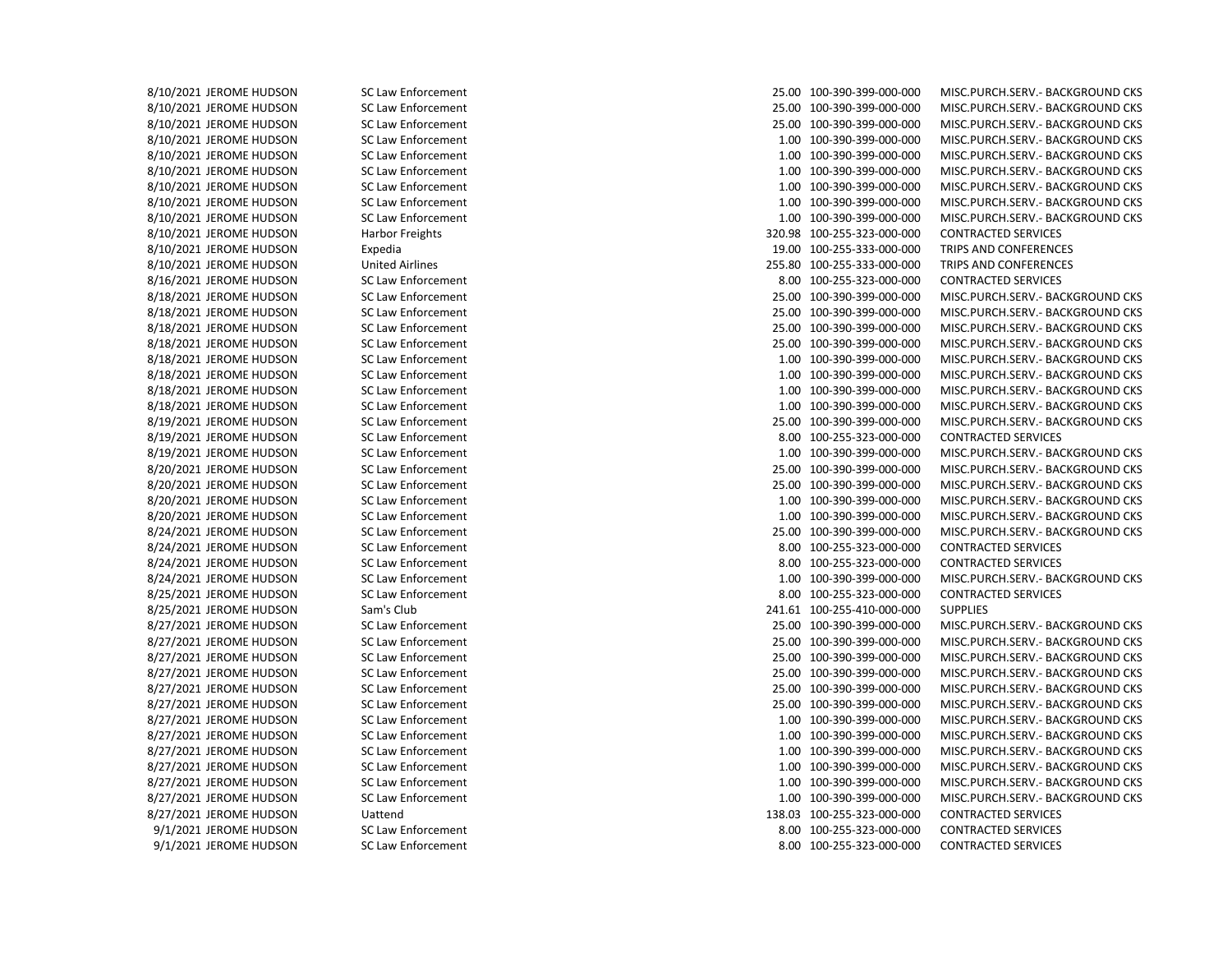8/10/2021 JEROME HUDSON SC Law Enforcement 25.00 100-390-399-000-000 MISC.PURCH.SERV.- BACKGROUND CKS 8/10/2021 JEROME HUDSON SC Law Enforcement 25.00 100-390-399-000-000 MISC.PURCH.SERV.- BACKGROUND CKS 8/10/2021 JEROME HUDSON SC Law Enforcement 25.00 100-390-399-000-000 MISC.PURCH.SERV.- BACKGROUND CKS 8/10/2021 JEROME HUDSON SC Law Enforcement SC Law Enforcement 1.00 100-390-399-000-000 MISC.PURCH.SERV.- BACKGROUND CKS 8/10/2021 JEROME HUDSON SC Law Enforcement 1.00 100-390-399-000-000 MISC.PURCH.SERV.- BACKGROUND CKS 8/10/2021 JEROME HUDSON SC Law Enforcement 1.00 100-390-399-000-000 MISC.PURCH.SERV.- BACKGROUND CKS 8/10/2021 JEROME HUDSON SC Law Enforcement 1.00 100-390-399-000-000 MISC.PURCH.SERV.- BACKGROUND CKS 8/10/2021 JEROME HUDSON SC Law Enforcement 1.00 100-390-399-000-000 MISC.PURCH.SERV.- BACKGROUND CKS 8/10/2021 JEROME HUDSON SC Law Enforcement 1.00 100-390-399-000-000 MISC.PURCH.SERV.- BACKGROUND CKS 8/10/2021 JEROME HUDSON Harbor Freights 320.98 100-255-323-000-000 CONTRACTED SERVICES 8/10/2021 JEROME HUDSON Expedia 19.00 100-255-333-000-000 TRIPS AND CONFERENCES 8/10/2021 JEROME HUDSON United Airlines 255.80 100-255-333-000-000 TRIPS AND CONFERENCES 8/16/2021 JEROME HUDSON SC Law Enforcement 8.00 100-255-323-000-000 CONTRACTED SERVICES 8/18/2021 JEROME HUDSON SC Law Enforcement 25.00 100-390-399-000-000 MISC.PURCH.SERV.- BACKGROUND CKS 8/18/2021 JEROME HUDSON SC Law Enforcement 25.00 100-390-399-000-000 MISC.PURCH.SERV.- BACKGROUND CKS 8/18/2021 JEROME HUDSON SC Law Enforcement 25.00 100-390-399-000-000 MISC.PURCH.SERV.- BACKGROUND CKS 8/18/2021 JEROME HUDSON SC Law Enforcement 25.00 100-390-399-000-000 MISC.PURCH.SERV.- BACKGROUND CKS 8/18/2021 JEROME HUDSON SC Law Enforcement 1.00 100-390-399-000-000 MISC.PURCH.SERV.- BACKGROUND CKS 8/18/2021 JEROME HUDSON SC Law Enforcement 1.00 100-390-399-000-000 MISC.PURCH.SERV.- BACKGROUND CKS 8/18/2021 JEROME HUDSON SC Law Enforcement 1.00 100-390-399-000-000 MISC.PURCH.SERV.- BACKGROUND CKS 8/18/2021 JEROME HUDSON SC Law Enforcement 1.00 100-390-399-000-000 MISC.PURCH.SERV.- BACKGROUND CKS 8/19/2021 JEROME HUDSON SC Law Enforcement 25.00 100-390-399-000-000 MISC.PURCH.SERV.- BACKGROUND CKS 8/19/2021 JEROME HUDSON SC Law Enforcement 8.00 100-255-323-000-000 CONTRACTED SERVICES 8/19/2021 JEROME HUDSON SC Law Enforcement 1.00 100-390-399-000-000 MISC.PURCH.SERV.- BACKGROUND CKS 8/20/2021 JEROME HUDSON SC Law Enforcement 25.00 100-390-399-000-000 MISC.PURCH.SERV.- BACKGROUND CKS 8/20/2021 JEROME HUDSON SC Law Enforcement 25.00 100-390-399-000-000 MISC.PURCH.SERV.- BACKGROUND CKS 8/20/2021 JEROME HUDSON SC Law Enforcement SC Law Enforcement 1.00 100-390-399-000-000 MISC.PURCH.SERV.- BACKGROUND CKS 8/20/2021 JEROME HUDSON SC Law Enforcement SC Law Enforcement 1.00 100-390-399-000-000 MISC.PURCH.SERV.- BACKGROUND CKS 8/24/2021 JEROME HUDSON SC Law Enforcement 25.00 100-390-399-000-000 MISC.PURCH.SERV.- BACKGROUND CKS 8/24/2021 JEROME HUDSON SC Law Enforcement 8.00 100-255-323-000-000 CONTRACTED SERVICES 8/24/2021 JEROME HUDSON SC Law Enforcement 8.00 100-255-323-000-000 CONTRACTED SERVICES 8/24/2021 JEROME HUDSON SC Law Enforcement 1.00 100-390-399-000-000 MISC.PURCH.SERV.- BACKGROUND CKS 8/25/2021 JEROME HUDSON SC Law Enforcement 8.00 100-255-323-000-000 CONTRACTED SERVICES 8/25/2021 JEROME HUDSON Sam's Club 241.61 100-255-410-000-000 SUPPLIES 8/27/2021 JEROME HUDSON SC Law Enforcement 25.00 100-390-399-000-000 MISC.PURCH.SERV.- BACKGROUND CKS 8/27/2021 JEROME HUDSON SC Law Enforcement 25.00 100-390-399-000-000 MISC.PURCH.SERV.- BACKGROUND CKS 8/27/2021 JEROME HUDSON SC Law Enforcement 25.00 100-390-399-000-000 MISC.PURCH.SERV.- BACKGROUND CKS 8/27/2021 JEROME HUDSON SC Law Enforcement 25.00 100-390-399-000-000 MISC.PURCH.SERV.- BACKGROUND CKS 8/27/2021 JEROME HUDSON SC Law Enforcement 25.00 100-390-399-000-000 MISC.PURCH.SERV.- BACKGROUND CKS 8/27/2021 JEROME HUDSON SC Law Enforcement 25.00 100-390-399-000-000 MISC.PURCH.SERV.- BACKGROUND CKS 8/27/2021 JEROME HUDSON SC Law Enforcement 1.00 100-390-399-000-000 MISC.PURCH.SERV.- BACKGROUND CKS 8/27/2021 JEROME HUDSON SC Law Enforcement 1.00 100-390-399-000-000 MISC.PURCH.SERV.- BACKGROUND CKS 8/27/2021 JEROME HUDSON SC Law Enforcement 1.00 100-390-399-000-000 MISC.PURCH.SERV.- BACKGROUND CKS 8/27/2021 JEROME HUDSON SC Law Enforcement 1.00 100-390-399-000-000 MISC.PURCH.SERV.- BACKGROUND CKS 8/27/2021 JEROME HUDSON SC Law Enforcement SC Law Enforcement 1.00 100-390-399-000-000 MISC.PURCH.SERV.- BACKGROUND CKS 8/27/2021 JEROME HUDSON SC Law Enforcement 1.00 100-390-399-000-000 MISC.PURCH.SERV.- BACKGROUND CKS 8/27/2021 JEROME HUDSON Uattend 138.03 100-255-323-000-000 CONTRACTED SERVICES 9/1/2021 JEROME HUDSON SC Law Enforcement 8.00 100-255-323-000-000 CONTRACTED SERVICES 9/1/2021 JEROME HUDSON SC Law Enforcement 8.00 100-255-323-000-000 CONTRACTED SERVICES